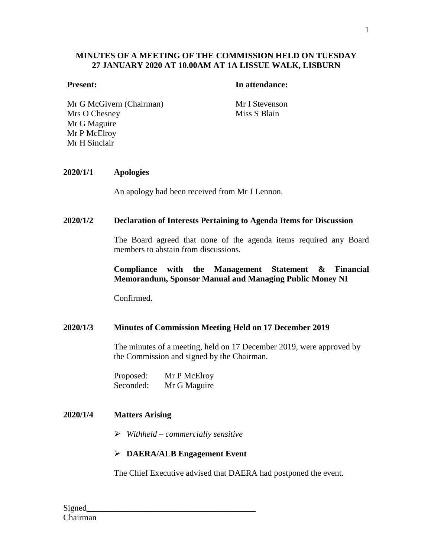## **MINUTES OF A MEETING OF THE COMMISSION HELD ON TUESDAY 27 JANUARY 2020 AT 10.00AM AT 1A LISSUE WALK, LISBURN**

#### **Present: In attendance:**

Mr G McGivern (Chairman) Mr I Stevenson Mrs O Chesney Mr G Maguire Mr P McElroy Mr H Sinclair

Miss S Blain

#### **2020/1/1 Apologies**

An apology had been received from Mr J Lennon.

#### **2020/1/2 Declaration of Interests Pertaining to Agenda Items for Discussion**

The Board agreed that none of the agenda items required any Board members to abstain from discussions.

### **Compliance with the Management Statement & Financial Memorandum, Sponsor Manual and Managing Public Money NI**

Confirmed.

#### **2020/1/3 Minutes of Commission Meeting Held on 17 December 2019**

The minutes of a meeting, held on 17 December 2019, were approved by the Commission and signed by the Chairman.

Proposed: Mr P McElroy Seconded: Mr G Maguire

## **2020/1/4 Matters Arising**

*Withheld – commercially sensitive*

#### **DAERA/ALB Engagement Event**

The Chief Executive advised that DAERA had postponed the event.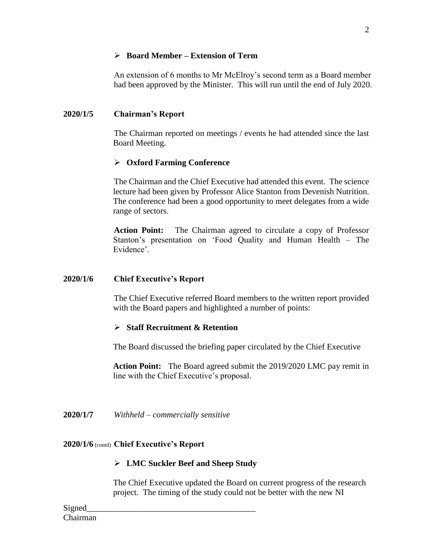## **Board Member – Extension of Term**

An extension of 6 months to Mr McElroy's second term as a Board member had been approved by the Minister. This will run until the end of July 2020.

# **2020/1/5 Chairman's Report**

The Chairman reported on meetings / events he had attended since the last Board Meeting.

## **Oxford Farming Conference**

The Chairman and the Chief Executive had attended this event. The science lecture had been given by Professor Alice Stanton from Devenish Nutrition. The conference had been a good opportunity to meet delegates from a wide range of sectors.

**Action Point:** The Chairman agreed to circulate a copy of Professor Stanton's presentation on 'Food Quality and Human Health – The Evidence'.

### **2020/1/6 Chief Executive's Report**

The Chief Executive referred Board members to the written report provided with the Board papers and highlighted a number of points:

### **Staff Recruitment & Retention**

The Board discussed the briefing paper circulated by the Chief Executive

**Action Point:** The Board agreed submit the 2019/2020 LMC pay remit in line with the Chief Executive's proposal.

**2020/1/7** *Withheld – commercially sensitive*

### **2020/1/6** (contd) **Chief Executive's Report**

### **LMC Suckler Beef and Sheep Study**

The Chief Executive updated the Board on current progress of the research project. The timing of the study could not be better with the new NI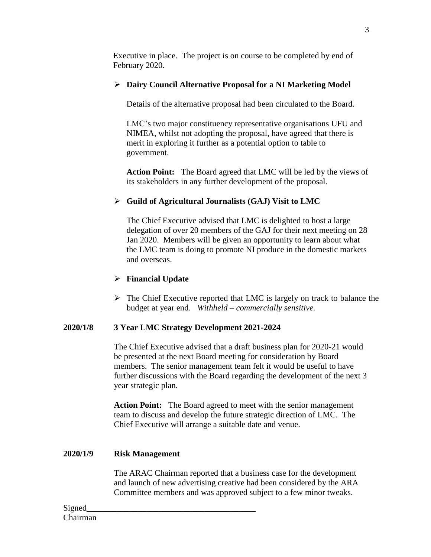Executive in place. The project is on course to be completed by end of February 2020.

# **Dairy Council Alternative Proposal for a NI Marketing Model**

Details of the alternative proposal had been circulated to the Board.

LMC's two major constituency representative organisations UFU and NIMEA, whilst not adopting the proposal, have agreed that there is merit in exploring it further as a potential option to table to government.

**Action Point:** The Board agreed that LMC will be led by the views of its stakeholders in any further development of the proposal.

# **Guild of Agricultural Journalists (GAJ) Visit to LMC**

The Chief Executive advised that LMC is delighted to host a large delegation of over 20 members of the GAJ for their next meeting on 28 Jan 2020. Members will be given an opportunity to learn about what the LMC team is doing to promote NI produce in the domestic markets and overseas.

# **Financial Update**

 $\triangleright$  The Chief Executive reported that LMC is largely on track to balance the budget at year end. *Withheld – commercially sensitive.*

# **2020/1/8 3 Year LMC Strategy Development 2021-2024**

The Chief Executive advised that a draft business plan for 2020-21 would be presented at the next Board meeting for consideration by Board members. The senior management team felt it would be useful to have further discussions with the Board regarding the development of the next 3 year strategic plan.

**Action Point:** The Board agreed to meet with the senior management team to discuss and develop the future strategic direction of LMC. The Chief Executive will arrange a suitable date and venue.

# **2020/1/9 Risk Management**

The ARAC Chairman reported that a business case for the development and launch of new advertising creative had been considered by the ARA Committee members and was approved subject to a few minor tweaks.